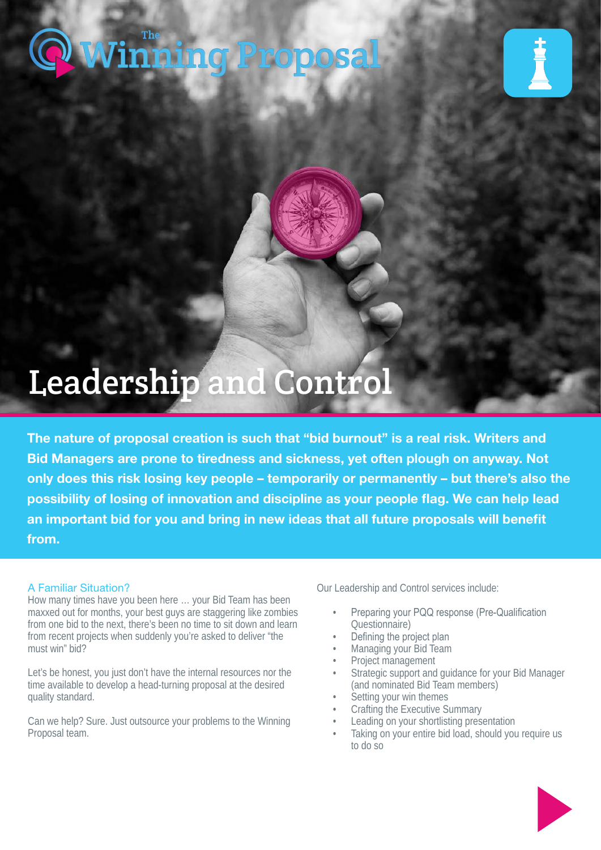# [Winning Proposal](https://www.thewinningproposal.com) The





## Leadership and Control

The nature of proposal creation is such that "bid burnout" is a real risk. Writers and Bid Managers are prone to tiredness and sickness, yet often plough on anyway. Not only does this risk losing key people – temporarily or permanently – but there's also the possibility of losing of innovation and discipline as your people flag. We can help lead an important bid for you and bring in new ideas that all future proposals will benefit from.

### A Familiar Situation?

How many times have you been here … your Bid Team has been maxxed out for months, your best guys are staggering like zombies from one bid to the next, there's been no time to sit down and learn from recent projects when suddenly you're asked to deliver "the must win" bid?

Let's be honest, you just don't have the internal resources nor the time available to develop a head-turning proposal at the desired quality standard.

Can we help? Sure. Just outsource your problems to the Winning Proposal team.

Our Leadership and Control services include:

- Preparing your PQQ response (Pre-Qualification Questionnaire)
- Defining the project plan
- Managing your Bid Team
- Project management
- Strategic support and guidance for your Bid Manager (and nominated Bid Team members)
- Setting your win themes
- Crafting the Executive Summary
- Leading on your shortlisting presentation
- Taking on your entire bid load, should you require us to do so

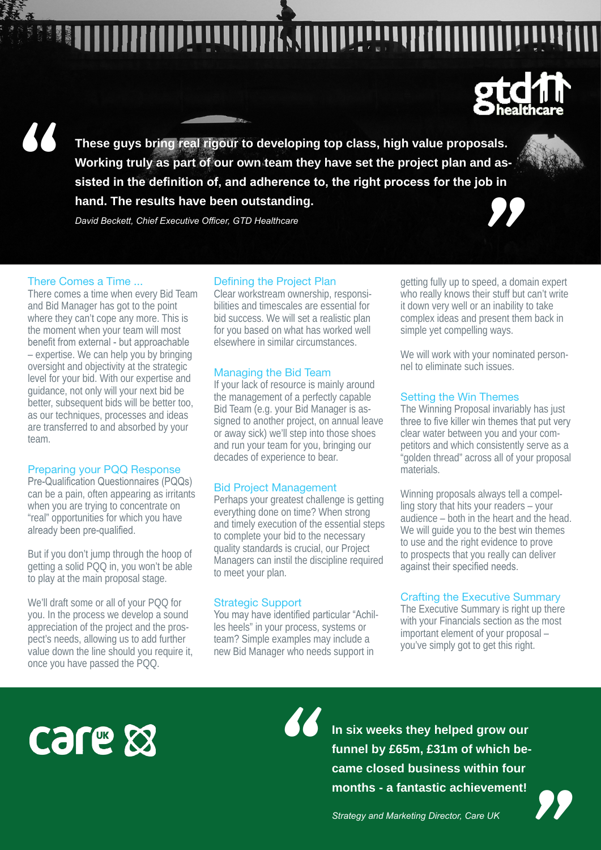<u>"</u>

**These guys bring real rigour to developing top class, high value proposals.**  als.<br> **d** as-<br> **b** in **Working truly as part of our own team they have set the project plan and assisted in the definition of, and adherence to, the right process for the job in hand. The results have been outstanding.**

*David Beckett, Chief Executive Officer, GTD Healthcare*

#### There Comes a Time ...

There comes a time when every Bid Team and Bid Manager has got to the point where they can't cope any more. This is the moment when your team will most benefit from external - but approachable – expertise. We can help you by bringing oversight and objectivity at the strategic level for your bid. With our expertise and guidance, not only will your next bid be better, subsequent bids will be better too, as our techniques, processes and ideas are transferred to and absorbed by your team.

#### Preparing your PQQ Response

Pre-Qualification Questionnaires (PQQs) can be a pain, often appearing as irritants when you are trying to concentrate on "real" opportunities for which you have already been pre-qualified.

But if you don't jump through the hoop of getting a solid PQQ in, you won't be able to play at the main proposal stage.

We'll draft some or all of your PQQ for you. In the process we develop a sound appreciation of the project and the prospect's needs, allowing us to add further value down the line should you require it, once you have passed the PQQ.

#### Defining the Project Plan

Clear workstream ownership, responsibilities and timescales are essential for bid success. We will set a realistic plan for you based on what has worked well elsewhere in similar circumstances.

#### Managing the Bid Team

If your lack of resource is mainly around the management of a perfectly capable Bid Team (e.g. your Bid Manager is assigned to another project, on annual leave or away sick) we'll step into those shoes and run your team for you, bringing our decades of experience to bear.

#### Bid Project Management

Perhaps your greatest challenge is getting everything done on time? When strong and timely execution of the essential steps to complete your bid to the necessary quality standards is crucial, our Project Managers can instil the discipline required to meet your plan.

#### Strategic Support

You may have identified particular "Achilles heels" in your process, systems or team? Simple examples may include a new Bid Manager who needs support in

*"*

getting fully up to speed, a domain expert who really knows their stuff but can't write it down very well or an inability to take complex ideas and present them back in simple yet compelling ways.

We will work with your nominated personnel to eliminate such issues.

#### Setting the Win Themes

The Winning Proposal invariably has just three to five killer win themes that put very clear water between you and your competitors and which consistently serve as a "golden thread" across all of your proposal materials.

Winning proposals always tell a compelling story that hits your readers – your audience – both in the heart and the head. We will guide you to the best win themes to use and the right evidence to prove to prospects that you really can deliver against their specified needs.

#### Crafting the Executive Summary

The Executive Summary is right up there with your Financials section as the most important element of your proposal – you've simply got to get this right.

**CSLE &** 

**In six weeks they helped grow our funnel by £65m, £31m of which became closed business within four m six weeks they helped grow our<br>funnel by £65m, £31m of which be-<br>came closed business within four<br>months - a fantastic achievement!<br>***Strategy and Marketing Director, Care UK* 



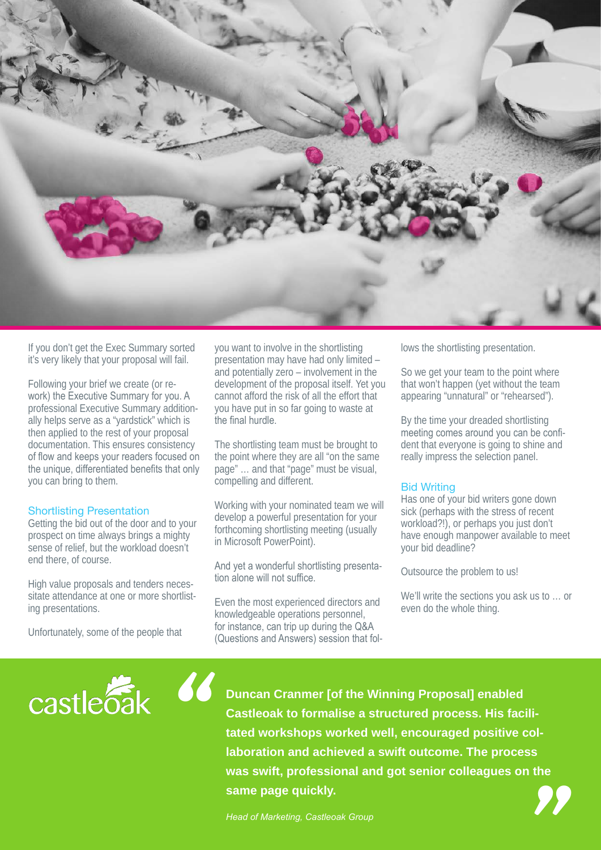

If you don't get the Exec Summary sorted it's very likely that your proposal will fail.

Following your brief we create (or rework) the Executive Summary for you. A professional Executive Summary additionally helps serve as a "yardstick" which is then applied to the rest of your proposal documentation. This ensures consistency of flow and keeps your readers focused on the unique, differentiated benefits that only you can bring to them.

#### Shortlisting Presentation

Getting the bid out of the door and to your prospect on time always brings a mighty sense of relief, but the workload doesn't end there, of course.

High value proposals and tenders necessitate attendance at one or more shortlisting presentations.

Unfortunately, some of the people that

you want to involve in the shortlisting presentation may have had only limited – and potentially zero – involvement in the development of the proposal itself. Yet you cannot afford the risk of all the effort that you have put in so far going to waste at the final hurdle.

The shortlisting team must be brought to the point where they are all "on the same page" … and that "page" must be visual, compelling and different.

Working with your nominated team we will develop a powerful presentation for your forthcoming shortlisting meeting (usually in Microsoft PowerPoint).

And yet a wonderful shortlisting presentation alone will not suffice.

Even the most experienced directors and knowledgeable operations personnel, for instance, can trip up during the Q&A (Questions and Answers) session that follows the shortlisting presentation.

So we get your team to the point where that won't happen (yet without the team appearing "unnatural" or "rehearsed").

By the time your dreaded shortlisting meeting comes around you can be confident that everyone is going to shine and really impress the selection panel.

#### Bid Writing

Has one of your bid writers gone down sick (perhaps with the stress of recent workload?!), or perhaps you just don't have enough manpower available to meet your bid deadline?

Outsource the problem to us!

We'll write the sections you ask us to … or even do the whole thing.



**Duncan Cranmer [of the Winning Proposal] enabled Castleoak to formalise a structured process. His facilitated workshops worked well, encouraged positive collaboration and achieved a swift outcome. The process was swift, professional and got senior colleagues on the same page quickly. Example 12 and School School School School School School School School School School School School School School School School School School School School School School School School School Head of Marketing, Castleoak Gr**